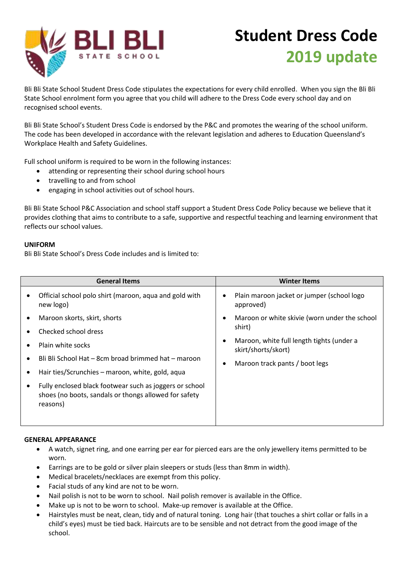

# **Student Dress Code 2019 update**

Bli Bli State School Student Dress Code stipulates the expectations for every child enrolled. When you sign the Bli Bli State School enrolment form you agree that you child will adhere to the Dress Code every school day and on recognised school events.

Bli Bli State School's Student Dress Code is endorsed by the P&C and promotes the wearing of the school uniform. The code has been developed in accordance with the relevant legislation and adheres to Education Queensland's Workplace Health and Safety Guidelines.

Full school uniform is required to be worn in the following instances:

- attending or representing their school during school hours
- travelling to and from school
- engaging in school activities out of school hours.

Bli Bli State School P&C Association and school staff support a Student Dress Code Policy because we believe that it provides clothing that aims to contribute to a safe, supportive and respectful teaching and learning environment that reflects our school values.

#### **UNIFORM**

Bli Bli State School's Dress Code includes and is limited to:

| <b>General Items</b>                                                                                                         |  | <b>Winter Items</b>                                              |
|------------------------------------------------------------------------------------------------------------------------------|--|------------------------------------------------------------------|
| Official school polo shirt (maroon, aqua and gold with<br>new logo)                                                          |  | Plain maroon jacket or jumper (school logo<br>approved)          |
| Maroon skorts, skirt, shorts                                                                                                 |  | Maroon or white skivie (worn under the school                    |
| Checked school dress                                                                                                         |  | shirt)                                                           |
| Plain white socks                                                                                                            |  | Maroon, white full length tights (under a<br>skirt/shorts/skort) |
| Bli Bli School Hat - 8cm broad brimmed hat - maroon                                                                          |  | Maroon track pants / boot legs                                   |
| Hair ties/Scrunchies - maroon, white, gold, aqua                                                                             |  |                                                                  |
| Fully enclosed black footwear such as joggers or school<br>shoes (no boots, sandals or thongs allowed for safety<br>reasons) |  |                                                                  |

#### **GENERAL APPEARANCE**

- A watch, signet ring, and one earring per ear for pierced ears are the only jewellery items permitted to be worn.
- Earrings are to be gold or silver plain sleepers or studs (less than 8mm in width).
- Medical bracelets/necklaces are exempt from this policy.
- Facial studs of any kind are not to be worn.
- Nail polish is not to be worn to school. Nail polish remover is available in the Office.
- Make up is not to be worn to school. Make-up remover is available at the Office.
- Hairstyles must be neat, clean, tidy and of natural toning. Long hair (that touches a shirt collar or falls in a child's eyes) must be tied back. Haircuts are to be sensible and not detract from the good image of the school.